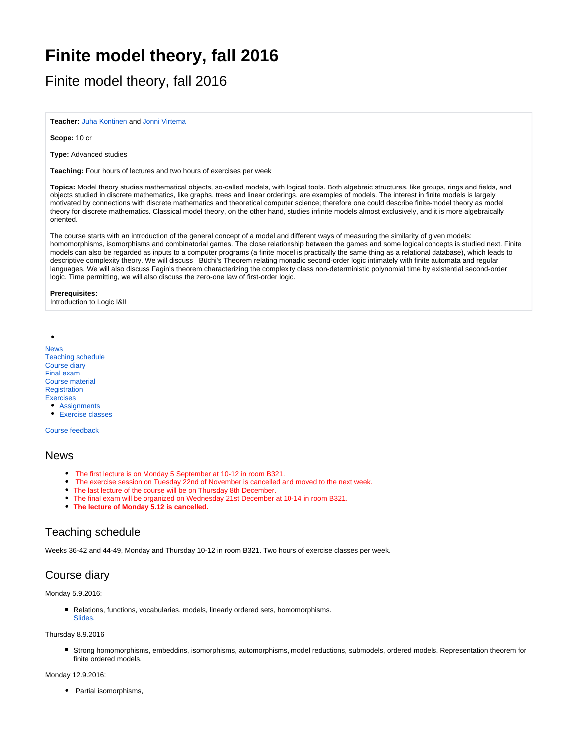# **Finite model theory, fall 2016**

Finite model theory, fall 2016

**Teacher:** [Juha Kontinen](https://wiki.helsinki.fi/display/mathstatHenkilokunta/Kontinen%2C+Juha) and [Jonni Virtema](http://wiki.helsinki.fi/display/mathstatHenkilokunta/Virtema%2C+Jonni)

**Scope:** 10 cr

**Type:** Advanced studies

**Teaching:** Four hours of lectures and two hours of exercises per week

**Topics:** Model theory studies mathematical objects, so-called models, with logical tools. Both algebraic structures, like groups, rings and fields, and objects studied in discrete mathematics, like graphs, trees and linear orderings, are examples of models. The interest in finite models is largely motivated by connections with discrete mathematics and theoretical computer science; therefore one could describe finite-model theory as model theory for discrete mathematics. Classical model theory, on the other hand, studies infinite models almost exclusively, and it is more algebraically oriented.

The course starts with an introduction of the general concept of a model and different ways of measuring the similarity of given models: homomorphisms, isomorphisms and combinatorial games. The close relationship between the games and some logical concepts is studied next. Finite models can also be regarded as inputs to a computer programs (a finite model is practically the same thing as a relational database), which leads to descriptive complexity theory. We will discuss Büchi's Theorem relating monadic second-order logic intimately with finite automata and regular languages. We will also discuss Fagin's theorem characterizing the complexity class non-deterministic polynomial time by existential second-order logic. Time permitting, we will also discuss the zero-one law of first-order logic.

#### **Prerequisites:**

Introduction to Logic I&II

[News](#page-0-0) [Teaching schedule](#page-0-1) [Course diary](#page-0-2) [Final exam](#page-2-0) [Course material](#page-2-1) **[Registration](#page-2-2)** [Exercises](#page-2-3) • [Assignments](#page-2-4) **[Exercise classes](#page-2-5)** 

[Course feedback](#page-2-6)

### <span id="page-0-0"></span>News

- The first lecture is on Monday 5 September at 10-12 in room B321.
- The exercise session on Tuesday 22nd of November is cancelled and moved to the next week.
- The last lecture of the course will be on Thursday 8th December.
- The final exam will be organized on Wednesday 21st December at 10-14 in room B321.
- **The lecture of Monday 5.12 is cancelled.**

# <span id="page-0-1"></span>Teaching schedule

Weeks 36-42 and 44-49, Monday and Thursday 10-12 in room B321. Two hours of exercise classes per week.

# <span id="page-0-2"></span>Course diary

Monday 5.9.2016:

Relations, functions, vocabularies, models, linearly ordered sets, homomorphisms. [Slides.](https://wiki.helsinki.fi/download/attachments/198313611/lecture1.pdf?version=2&modificationDate=1473342927282&api=v2)

#### Thursday 8.9.2016

Strong homomorphisms, embeddins, isomorphisms, automorphisms, model reductions, submodels, ordered models. Representation theorem for finite ordered models.

Monday 12.9.2016:

• Partial isomorphisms,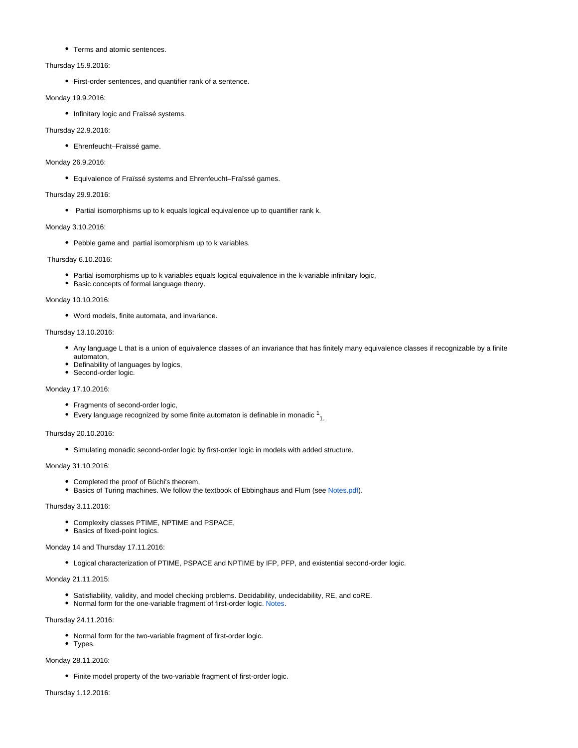Terms and atomic sentences.

#### Thursday 15.9.2016:

First-order sentences, and quantifier rank of a sentence.

#### Monday 19.9.2016:

• Infinitary logic and Fraïssé systems.

#### Thursday 22.9.2016:

Ehrenfeucht–Fraïssé game.

#### Monday 26.9.2016:

Equivalence of Fraïssé systems and Ehrenfeucht–Fraïssé games.

#### Thursday 29.9.2016:

• Partial isomorphisms up to k equals logical equivalence up to quantifier rank k.

#### Monday 3.10.2016:

• Pebble game and partial isomorphism up to k variables.

#### Thursday 6.10.2016:

- Partial isomorphisms up to k variables equals logical equivalence in the k-variable infinitary logic,
- Basic concepts of formal language theory.

#### Monday 10.10.2016:

Word models, finite automata, and invariance.

#### Thursday 13.10.2016:

- Any language L that is a union of equivalence classes of an invariance that has finitely many equivalence classes if recognizable by a finite automaton,
- Definability of languages by logics,
- Second-order logic.

#### Monday 17.10.2016:

- Fragments of second-order logic,
- Every language recognized by some finite automaton is definable in monadic  $\frac{1}{1}$

#### Thursday 20.10.2016:

Simulating monadic second-order logic by first-order logic in models with added structure.

#### Monday 31.10.2016:

- Completed the proof of Büchi's theorem,
- **Basics of Turing machines. We follow the textbook of Ebbinghaus and Flum (see [Notes.pdf\)](https://wiki.helsinki.fi/download/attachments/198313611/DC.pdf?version=1&modificationDate=1477984826837&api=v2).**

#### Thursday 3.11.2016:

- Complexity classes PTIME, NPTIME and PSPACE,
- Basics of fixed-point logics.

#### Monday 14 and Thursday 17.11.2016:

Logical characterization of PTIME, PSPACE and NPTIME by IFP, PFP, and existential second-order logic.

#### Monday 21.11.2015:

- Satisfiability, validity, and model checking problems. Decidability, undecidability, RE, and coRE.
- Normal form for the one-variable fragment of first-order logic. [Notes](http://esslli2009.labri.fr/documents/pratt-hartmann.pdf).

#### Thursday 24.11.2016:

- Normal form for the two-variable fragment of first-order logic.
- Types.

#### Monday 28.11.2016:

Finite model property of the two-variable fragment of first-order logic.

#### Thursday 1.12.2016: